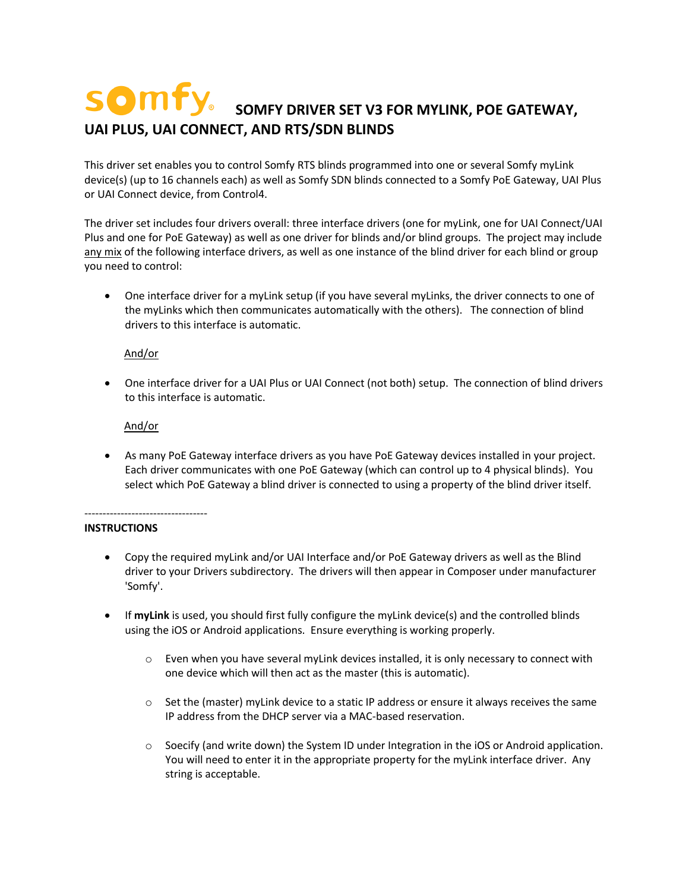# **SOMFY** SOMFY DRIVER SET V3 FOR MYLINK, POE GATEWAY, **UAI PLUS, UAI CONNECT, AND RTS/SDN BLINDS**

This driver set enables you to control Somfy RTS blinds programmed into one or several Somfy myLink device(s) (up to 16 channels each) as well as Somfy SDN blinds connected to a Somfy PoE Gateway, UAI Plus or UAI Connect device, from Control4.

The driver set includes four drivers overall: three interface drivers (one for myLink, one for UAI Connect/UAI Plus and one for PoE Gateway) as well as one driver for blinds and/or blind groups. The project may include any mix of the following interface drivers, as well as one instance of the blind driver for each blind or group you need to control:

• One interface driver for a myLink setup (if you have several myLinks, the driver connects to one of the myLinks which then communicates automatically with the others). The connection of blind drivers to this interface is automatic.

### And/or

• One interface driver for a UAI Plus or UAI Connect (not both) setup. The connection of blind drivers to this interface is automatic.

# And/or

• As many PoE Gateway interface drivers as you have PoE Gateway devices installed in your project. Each driver communicates with one PoE Gateway (which can control up to 4 physical blinds). You select which PoE Gateway a blind driver is connected to using a property of the blind driver itself.

----------------------------------

# **INSTRUCTIONS**

- Copy the required myLink and/or UAI Interface and/or PoE Gateway drivers as well as the Blind driver to your Drivers subdirectory. The drivers will then appear in Composer under manufacturer 'Somfy'.
- If **myLink** is used, you should first fully configure the myLink device(s) and the controlled blinds using the iOS or Android applications. Ensure everything is working properly.
	- $\circ$  Even when you have several myLink devices installed, it is only necessary to connect with one device which will then act as the master (this is automatic).
	- $\circ$  Set the (master) myLink device to a static IP address or ensure it always receives the same IP address from the DHCP server via a MAC-based reservation.
	- $\circ$  Soecify (and write down) the System ID under Integration in the iOS or Android application. You will need to enter it in the appropriate property for the myLink interface driver. Any string is acceptable.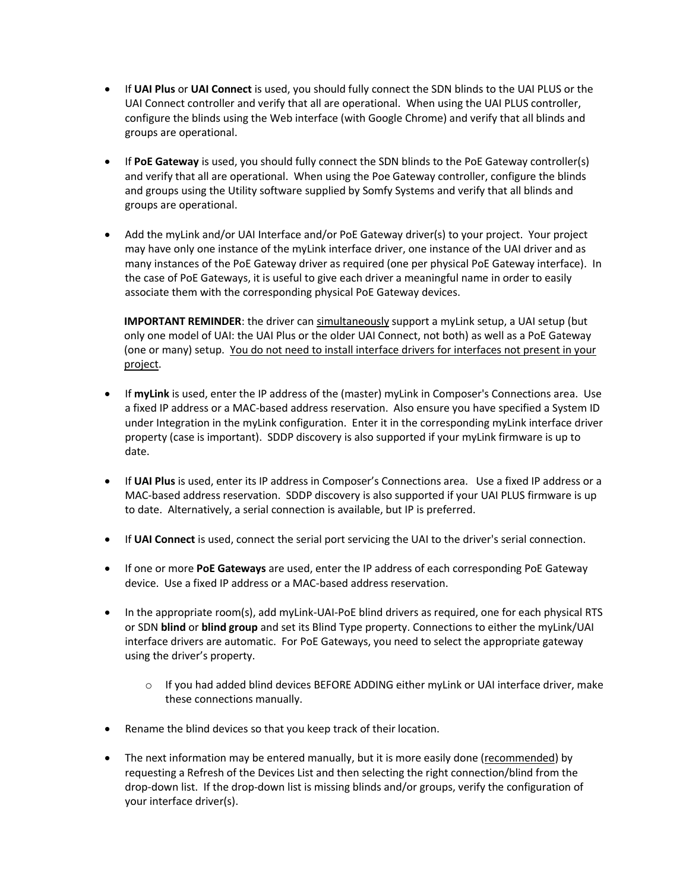- If **UAI Plus** or **UAI Connect** is used, you should fully connect the SDN blinds to the UAI PLUS or the UAI Connect controller and verify that all are operational. When using the UAI PLUS controller, configure the blinds using the Web interface (with Google Chrome) and verify that all blinds and groups are operational.
- If **PoE Gateway** is used, you should fully connect the SDN blinds to the PoE Gateway controller(s) and verify that all are operational. When using the Poe Gateway controller, configure the blinds and groups using the Utility software supplied by Somfy Systems and verify that all blinds and groups are operational.
- Add the myLink and/or UAI Interface and/or PoE Gateway driver(s) to your project. Your project may have only one instance of the myLink interface driver, one instance of the UAI driver and as many instances of the PoE Gateway driver as required (one per physical PoE Gateway interface). In the case of PoE Gateways, it is useful to give each driver a meaningful name in order to easily associate them with the corresponding physical PoE Gateway devices.

**IMPORTANT REMINDER**: the driver can simultaneously support a myLink setup, a UAI setup (but only one model of UAI: the UAI Plus or the older UAI Connect, not both) as well as a PoE Gateway (one or many) setup. You do not need to install interface drivers for interfaces not present in your project.

- If **myLink** is used, enter the IP address of the (master) myLink in Composer's Connections area. Use a fixed IP address or a MAC-based address reservation. Also ensure you have specified a System ID under Integration in the myLink configuration. Enter it in the corresponding myLink interface driver property (case is important). SDDP discovery is also supported if your myLink firmware is up to date.
- If **UAI Plus** is used, enter its IP address in Composer's Connections area. Use a fixed IP address or a MAC-based address reservation. SDDP discovery is also supported if your UAI PLUS firmware is up to date. Alternatively, a serial connection is available, but IP is preferred.
- If **UAI Connect** is used, connect the serial port servicing the UAI to the driver's serial connection.
- If one or more **PoE Gateways** are used, enter the IP address of each corresponding PoE Gateway device. Use a fixed IP address or a MAC-based address reservation.
- In the appropriate room(s), add myLink-UAI-PoE blind drivers as required, one for each physical RTS or SDN **blind** or **blind group** and set its Blind Type property. Connections to either the myLink/UAI interface drivers are automatic. For PoE Gateways, you need to select the appropriate gateway using the driver's property.
	- $\circ$  If you had added blind devices BEFORE ADDING either myLink or UAI interface driver, make these connections manually.
- Rename the blind devices so that you keep track of their location.
- The next information may be entered manually, but it is more easily done (recommended) by requesting a Refresh of the Devices List and then selecting the right connection/blind from the drop-down list. If the drop-down list is missing blinds and/or groups, verify the configuration of your interface driver(s).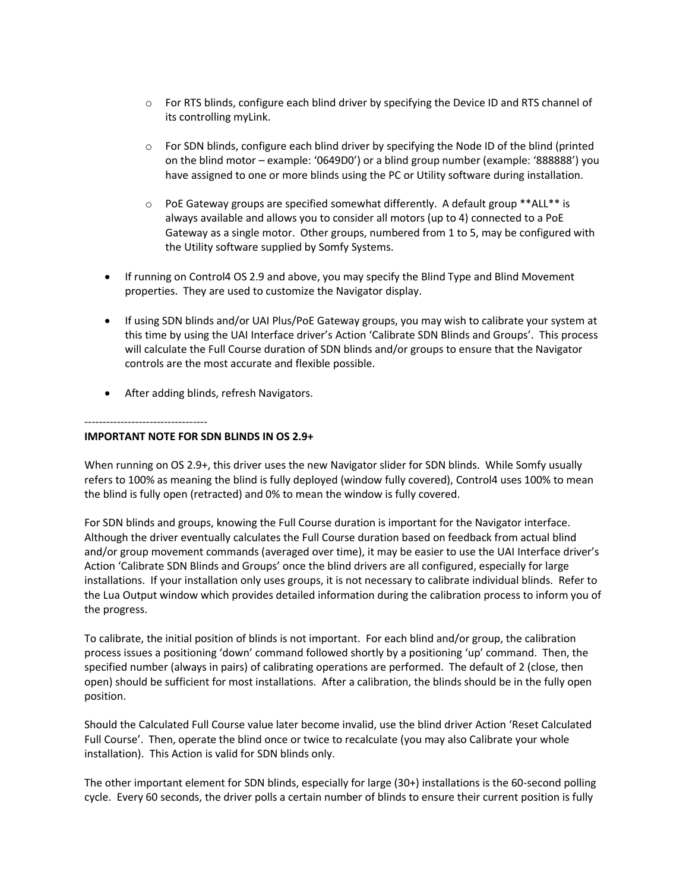- o For RTS blinds, configure each blind driver by specifying the Device ID and RTS channel of its controlling myLink.
- $\circ$  For SDN blinds, configure each blind driver by specifying the Node ID of the blind (printed on the blind motor – example: '0649D0') or a blind group number (example: '888888') you have assigned to one or more blinds using the PC or Utility software during installation.
- $\circ$  PoE Gateway groups are specified somewhat differently. A default group \*\*ALL\*\* is always available and allows you to consider all motors (up to 4) connected to a PoE Gateway as a single motor. Other groups, numbered from 1 to 5, may be configured with the Utility software supplied by Somfy Systems.
- If running on Control4 OS 2.9 and above, you may specify the Blind Type and Blind Movement properties. They are used to customize the Navigator display.
- If using SDN blinds and/or UAI Plus/PoE Gateway groups, you may wish to calibrate your system at this time by using the UAI Interface driver's Action 'Calibrate SDN Blinds and Groups'. This process will calculate the Full Course duration of SDN blinds and/or groups to ensure that the Navigator controls are the most accurate and flexible possible.
- After adding blinds, refresh Navigators.

----------------------------------

#### **IMPORTANT NOTE FOR SDN BLINDS IN OS 2.9+**

When running on OS 2.9+, this driver uses the new Navigator slider for SDN blinds. While Somfy usually refers to 100% as meaning the blind is fully deployed (window fully covered), Control4 uses 100% to mean the blind is fully open (retracted) and 0% to mean the window is fully covered.

For SDN blinds and groups, knowing the Full Course duration is important for the Navigator interface. Although the driver eventually calculates the Full Course duration based on feedback from actual blind and/or group movement commands (averaged over time), it may be easier to use the UAI Interface driver's Action 'Calibrate SDN Blinds and Groups' once the blind drivers are all configured, especially for large installations. If your installation only uses groups, it is not necessary to calibrate individual blinds. Refer to the Lua Output window which provides detailed information during the calibration process to inform you of the progress.

To calibrate, the initial position of blinds is not important. For each blind and/or group, the calibration process issues a positioning 'down' command followed shortly by a positioning 'up' command. Then, the specified number (always in pairs) of calibrating operations are performed. The default of 2 (close, then open) should be sufficient for most installations. After a calibration, the blinds should be in the fully open position.

Should the Calculated Full Course value later become invalid, use the blind driver Action 'Reset Calculated Full Course'. Then, operate the blind once or twice to recalculate (you may also Calibrate your whole installation). This Action is valid for SDN blinds only.

The other important element for SDN blinds, especially for large (30+) installations is the 60-second polling cycle. Every 60 seconds, the driver polls a certain number of blinds to ensure their current position is fully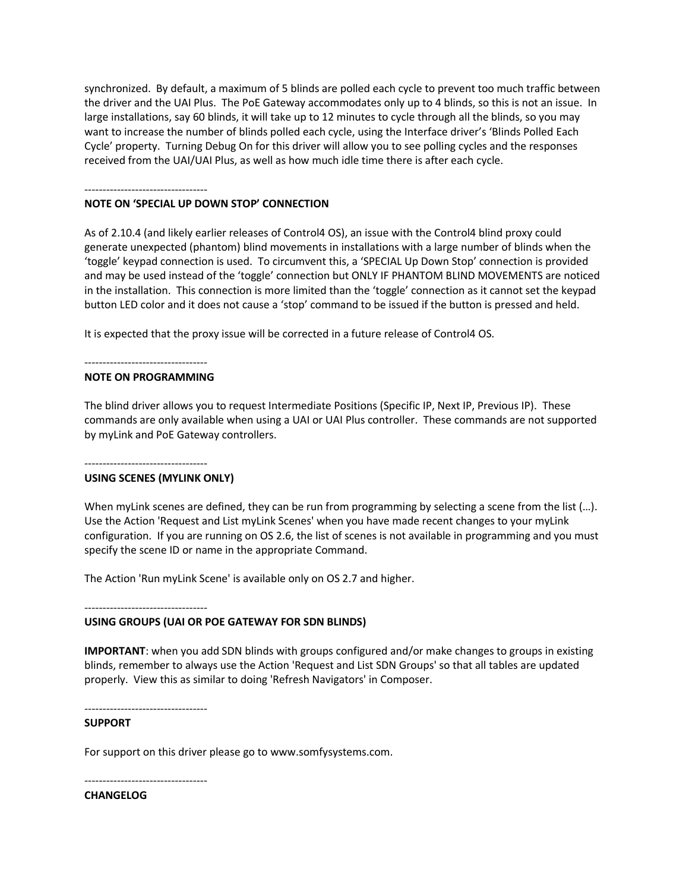synchronized. By default, a maximum of 5 blinds are polled each cycle to prevent too much traffic between the driver and the UAI Plus. The PoE Gateway accommodates only up to 4 blinds, so this is not an issue. In large installations, say 60 blinds, it will take up to 12 minutes to cycle through all the blinds, so you may want to increase the number of blinds polled each cycle, using the Interface driver's 'Blinds Polled Each Cycle' property. Turning Debug On for this driver will allow you to see polling cycles and the responses received from the UAI/UAI Plus, as well as how much idle time there is after each cycle.

#### ----------------------------------

#### **NOTE ON 'SPECIAL UP DOWN STOP' CONNECTION**

As of 2.10.4 (and likely earlier releases of Control4 OS), an issue with the Control4 blind proxy could generate unexpected (phantom) blind movements in installations with a large number of blinds when the 'toggle' keypad connection is used. To circumvent this, a 'SPECIAL Up Down Stop' connection is provided and may be used instead of the 'toggle' connection but ONLY IF PHANTOM BLIND MOVEMENTS are noticed in the installation. This connection is more limited than the 'toggle' connection as it cannot set the keypad button LED color and it does not cause a 'stop' command to be issued if the button is pressed and held.

It is expected that the proxy issue will be corrected in a future release of Control4 OS.

#### ----------------------------------

#### **NOTE ON PROGRAMMING**

The blind driver allows you to request Intermediate Positions (Specific IP, Next IP, Previous IP). These commands are only available when using a UAI or UAI Plus controller. These commands are not supported by myLink and PoE Gateway controllers.

#### ---------------------------------- **USING SCENES (MYLINK ONLY)**

When myLink scenes are defined, they can be run from programming by selecting a scene from the list (...). Use the Action 'Request and List myLink Scenes' when you have made recent changes to your myLink configuration. If you are running on OS 2.6, the list of scenes is not available in programming and you must specify the scene ID or name in the appropriate Command.

The Action 'Run myLink Scene' is available only on OS 2.7 and higher.

----------------------------------

# **USING GROUPS (UAI OR POE GATEWAY FOR SDN BLINDS)**

**IMPORTANT**: when you add SDN blinds with groups configured and/or make changes to groups in existing blinds, remember to always use the Action 'Request and List SDN Groups' so that all tables are updated properly. View this as similar to doing 'Refresh Navigators' in Composer.

---------------------------------- **SUPPORT**

For support on this driver please go to www.somfysystems.com.

---------------------------------- **CHANGELOG**